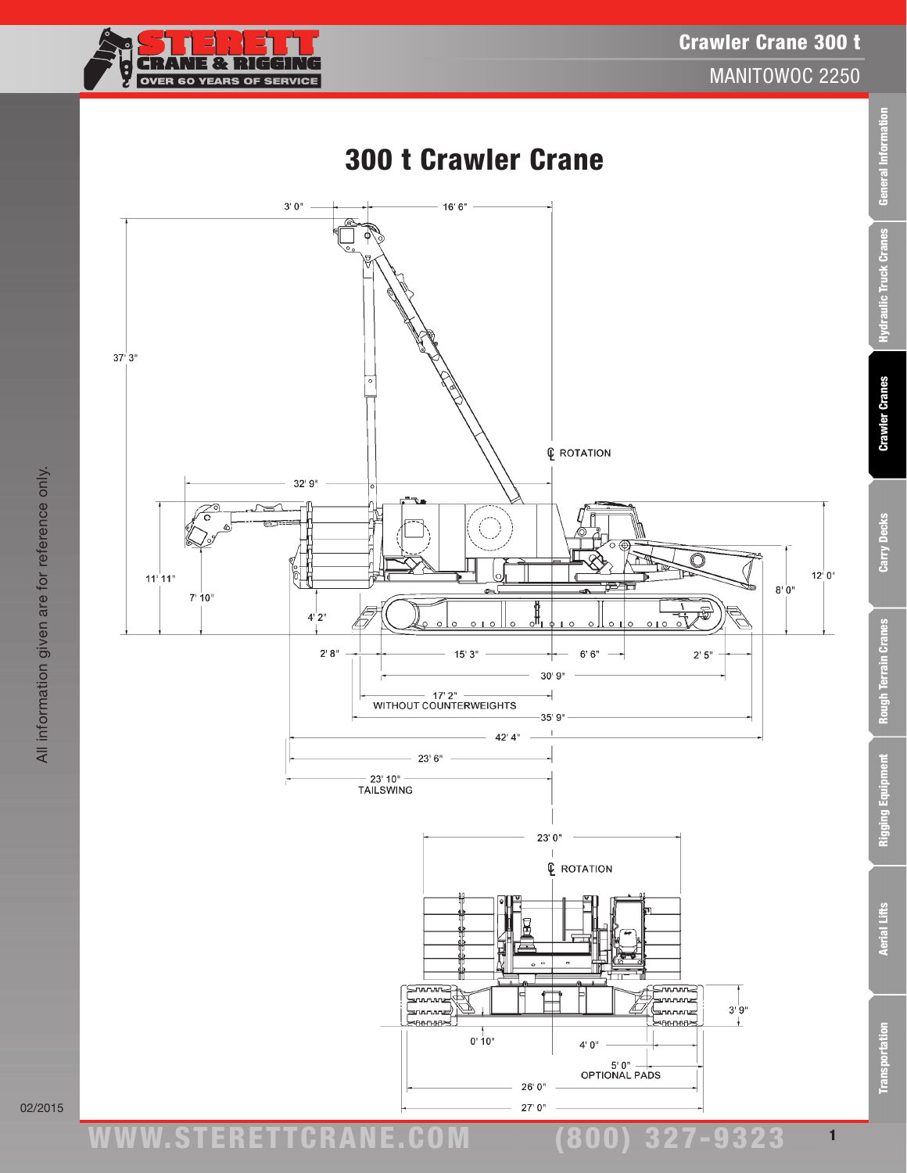

General Information

Hydraulic Truck Cranes

**Crawler Cranes** 

Carry Decks

**Rough Terrain Cranes** 

**Rigging Equipment** 



**Transportation** 

1

(800) 327-9323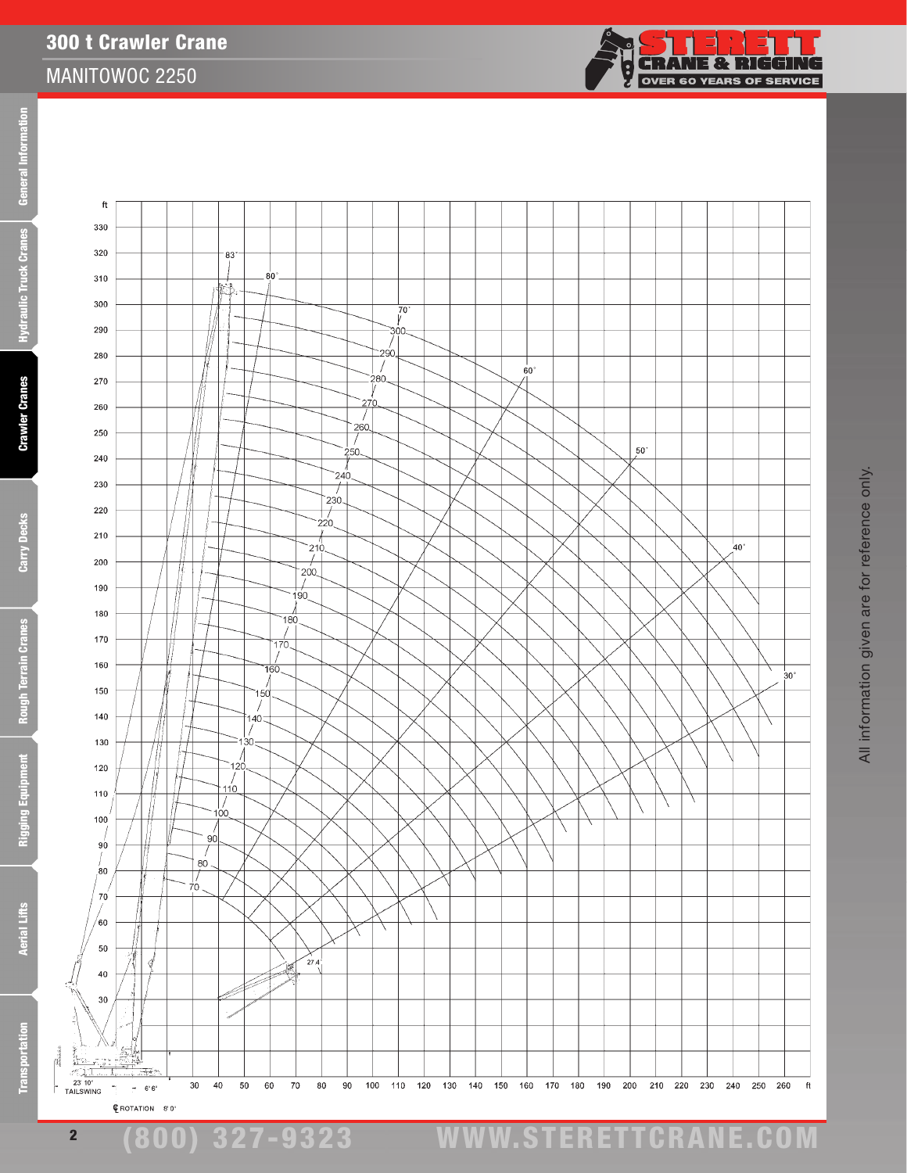**Aerial Lifts** 



300 t Crawler Crane

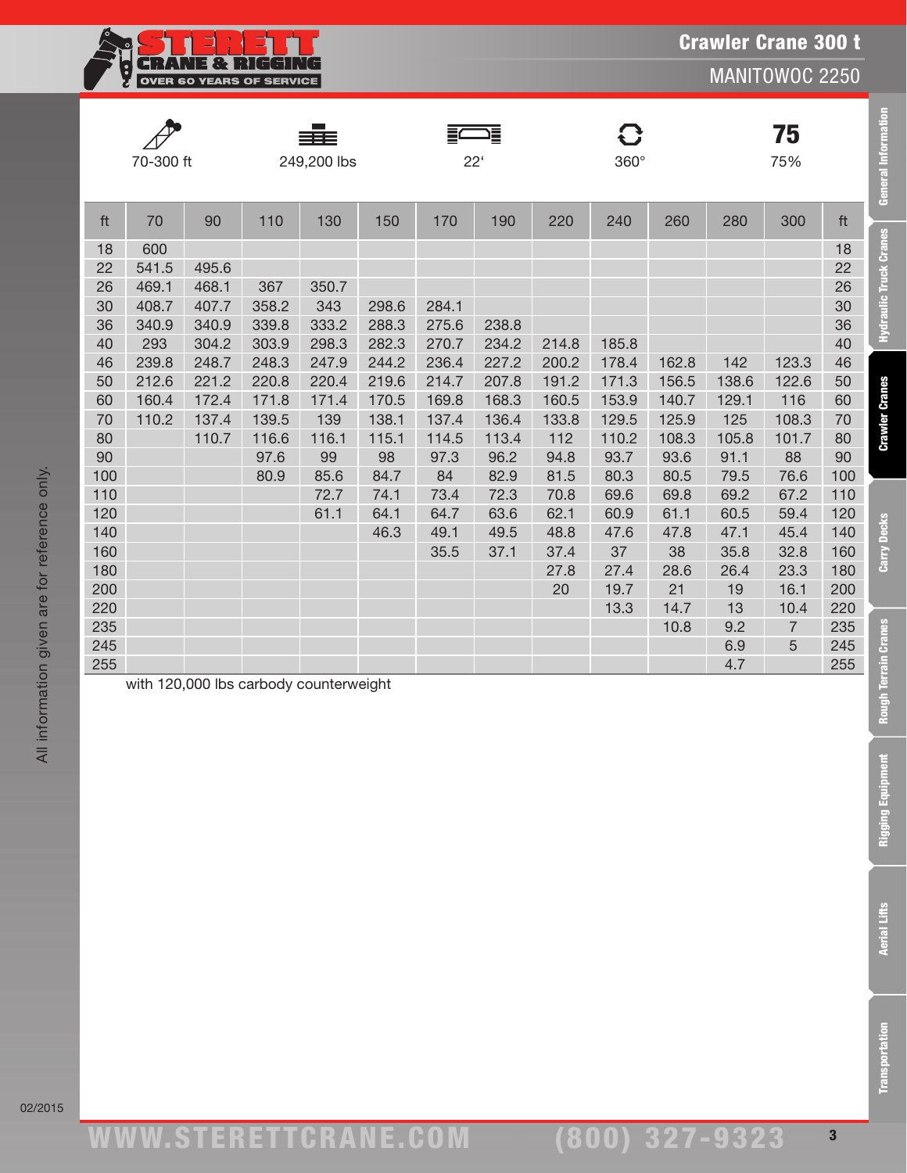| w.<br><b>BELL</b><br><b>OVER 60 YEARS OF SERVICE</b> |
|------------------------------------------------------|
|                                                      |

**General Information** 

Hydraulic Truck Cranes

**Crawler Cranes** 

Carry Decks

**Rough Terrain Cranes** 

|     | 70-300 ft |       |       | 249,200 lbs |       | $22^{\circ}$ |       |       | 360°  |       |       | 75<br>75%      |     |
|-----|-----------|-------|-------|-------------|-------|--------------|-------|-------|-------|-------|-------|----------------|-----|
| ft  | 70        | 90    | 110   | 130         | 150   | 170          | 190   | 220   | 240   | 260   | 280   | 300            | ft  |
| 18  | 600       |       |       |             |       |              |       |       |       |       |       |                | 18  |
| 22  | 541.5     | 495.6 |       |             |       |              |       |       |       |       |       |                | 22  |
| 26  | 469.1     | 468.1 | 367   | 350.7       |       |              |       |       |       |       |       |                | 26  |
| 30  | 408.7     | 407.7 | 358.2 | 343         | 298.6 | 284.1        |       |       |       |       |       |                | 30  |
| 36  | 340.9     | 340.9 | 339.8 | 333.2       | 288.3 | 275.6        | 238.8 |       |       |       |       |                | 36  |
| 40  | 293       | 304.2 | 303.9 | 298.3       | 282.3 | 270.7        | 234.2 | 214.8 | 185.8 |       |       |                | 40  |
| 46  | 239.8     | 248.7 | 248.3 | 247.9       | 244.2 | 236.4        | 227.2 | 200.2 | 178.4 | 162.8 | 142   | 123.3          | 46  |
| 50  | 212.6     | 221.2 | 220.8 | 220.4       | 219.6 | 214.7        | 207.8 | 191.2 | 171.3 | 156.5 | 138.6 | 122.6          | 50  |
| 60  | 160.4     | 172.4 | 171.8 | 171.4       | 170.5 | 169.8        | 168.3 | 160.5 | 153.9 | 140.7 | 129.1 | 116            | 60  |
| 70  | 110.2     | 137.4 | 139.5 | 139         | 138.1 | 137.4        | 136.4 | 133.8 | 129.5 | 125.9 | 125   | 108.3          | 70  |
| 80  |           | 110.7 | 116.6 | 116.1       | 115.1 | 114.5        | 113.4 | 112   | 110.2 | 108.3 | 105.8 | 101.7          | 80  |
| 90  |           |       | 97.6  | 99          | 98    | 97.3         | 96.2  | 94.8  | 93.7  | 93.6  | 91.1  | 88             | 90  |
| 100 |           |       | 80.9  | 85.6        | 84.7  | 84           | 82.9  | 81.5  | 80.3  | 80.5  | 79.5  | 76.6           | 100 |
| 110 |           |       |       | 72.7        | 74.1  | 73.4         | 72.3  | 70.8  | 69.6  | 69.8  | 69.2  | 67.2           | 110 |
| 120 |           |       |       | 61.1        | 64.1  | 64.7         | 63.6  | 62.1  | 60.9  | 61.1  | 60.5  | 59.4           | 120 |
| 140 |           |       |       |             | 46.3  | 49.1         | 49.5  | 48.8  | 47.6  | 47.8  | 47.1  | 45.4           | 140 |
| 160 |           |       |       |             |       | 35.5         | 37.1  | 37.4  | 37    | 38    | 35.8  | 32.8           | 160 |
| 180 |           |       |       |             |       |              |       | 27.8  | 27.4  | 28.6  | 26.4  | 23.3           | 180 |
| 200 |           |       |       |             |       |              |       | 20    | 19.7  | 21    | 19    | 16.1           | 200 |
| 220 |           |       |       |             |       |              |       |       | 13.3  | 14.7  | 13    | 10.4           | 220 |
| 235 |           |       |       |             |       |              |       |       |       | 10.8  | 9.2   | $\overline{7}$ | 235 |
| 245 |           |       |       |             |       |              |       |       |       |       | 6.9   | 5              | 245 |
| 255 |           |       |       |             |       |              |       |       |       |       | 4.7   |                | 255 |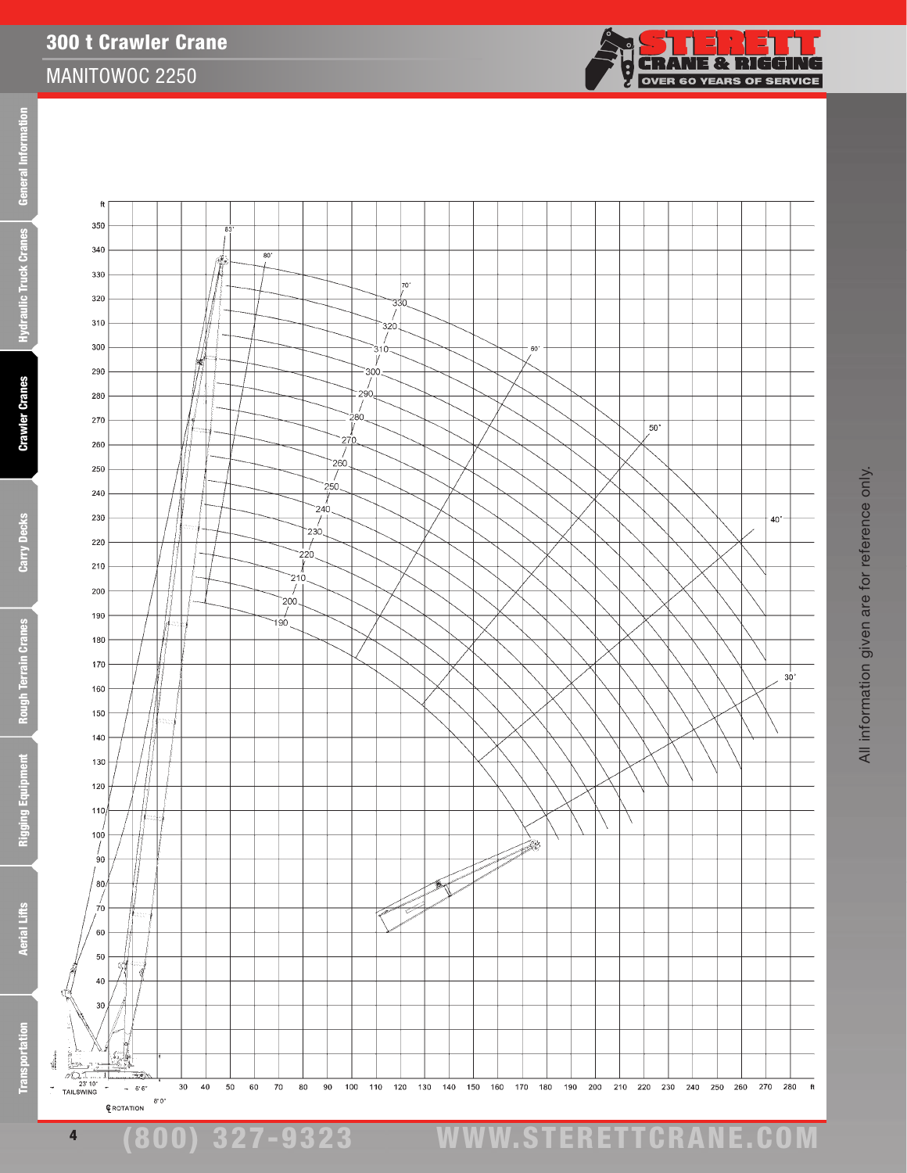÷,

**Aerial Lifts** 

**Crawler Cranes** 

300 t Crawler Crane

MANITOWOC 2250

f 350



(800) 327-9323 www.STERETTCRAnE.Com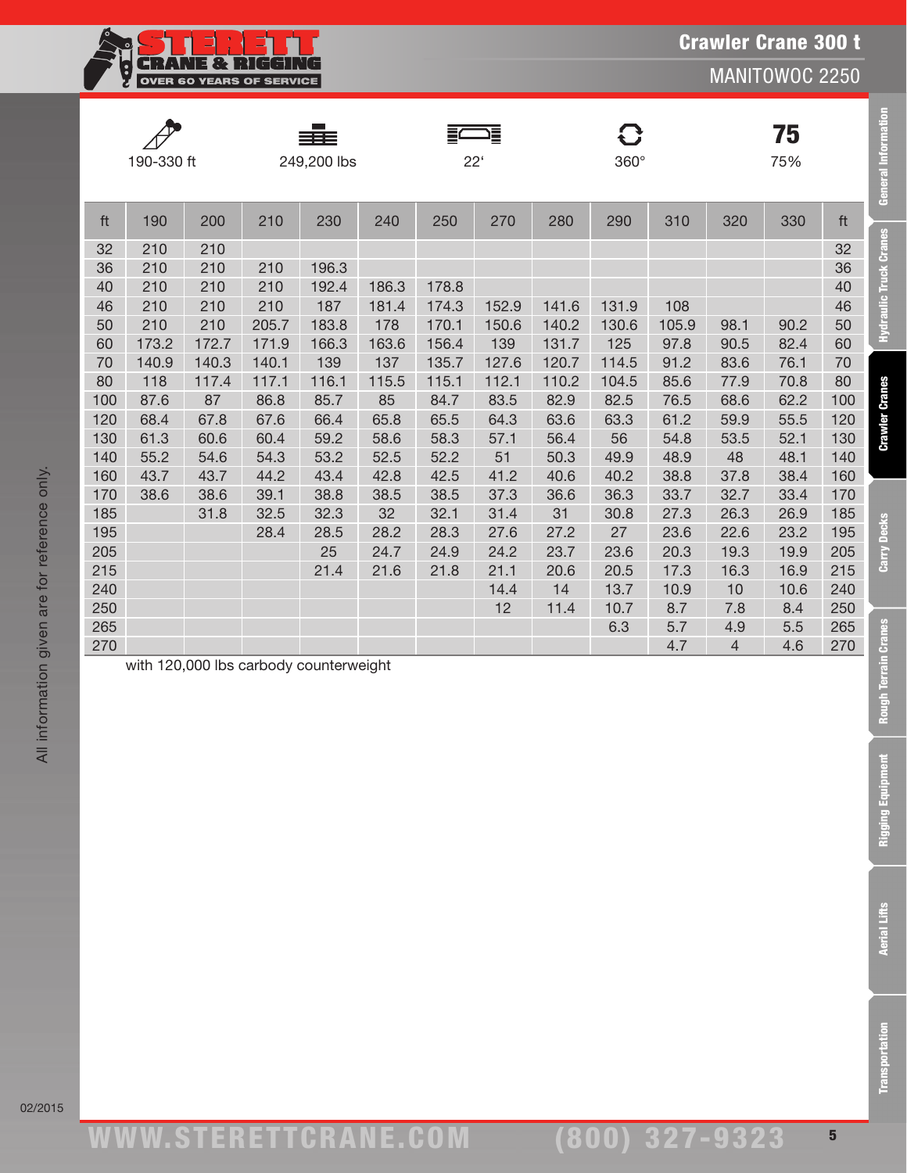| <b>18.</b><br>и.                |
|---------------------------------|
| <b>OVER 60 YEARS OF SERVICE</b> |

**General Information** 

**Hydraulic Truck Cranes** 

**Crawler Cranes** 

Carry Decks

**Rough Terrain Cranes** 

**Rigging Equipment** 

|     | 190-330 ft         |       |       | 249,200 lbs |                | $22^{\circ}$ | ▌▅    |       | 8<br>$360^\circ$ |       |                | 75<br>75% |     |
|-----|--------------------|-------|-------|-------------|----------------|--------------|-------|-------|------------------|-------|----------------|-----------|-----|
| ft  | 190                | 200   | 210   | 230         | 240            | 250          | 270   | 280   | 290              | 310   | 320            | 330       | ft  |
| 32  | 210                | 210   |       |             |                |              |       |       |                  |       |                |           | 32  |
| 36  | 210                | 210   | 210   | 196.3       |                |              |       |       |                  |       |                |           | 36  |
| 40  | 210                | 210   | 210   | 192.4       | 186.3          | 178.8        |       |       |                  |       |                |           | 40  |
| 46  | 210                | 210   | 210   | 187         | 181.4          | 174.3        | 152.9 | 141.6 | 131.9            | 108   |                |           | 46  |
| 50  | 210                | 210   | 205.7 | 183.8       | 178            | 170.1        | 150.6 | 140.2 | 130.6            | 105.9 | 98.1           | 90.2      | 50  |
| 60  | 173.2              | 172.7 | 171.9 | 166.3       | 163.6          | 156.4        | 139   | 131.7 | 125              | 97.8  | 90.5           | 82.4      | 60  |
| 70  | 140.9              | 140.3 | 140.1 | 139         | 137            | 135.7        | 127.6 | 120.7 | 114.5            | 91.2  | 83.6           | 76.1      | 70  |
| 80  | 118                | 117.4 | 117.1 | 116.1       | 115.5          | 115.1        | 112.1 | 110.2 | 104.5            | 85.6  | 77.9           | 70.8      | 80  |
| 100 | 87.6               | 87    | 86.8  | 85.7        | 85             | 84.7         | 83.5  | 82.9  | 82.5             | 76.5  | 68.6           | 62.2      | 100 |
| 120 | 68.4               | 67.8  | 67.6  | 66.4        | 65.8           | 65.5         | 64.3  | 63.6  | 63.3             | 61.2  | 59.9           | 55.5      | 120 |
| 130 | 61.3               | 60.6  | 60.4  | 59.2        | 58.6           | 58.3         | 57.1  | 56.4  | 56               | 54.8  | 53.5           | 52.1      | 130 |
| 140 | 55.2               | 54.6  | 54.3  | 53.2        | 52.5           | 52.2         | 51    | 50.3  | 49.9             | 48.9  | 48             | 48.1      | 140 |
| 160 | 43.7               | 43.7  | 44.2  | 43.4        | 42.8           | 42.5         | 41.2  | 40.6  | 40.2             | 38.8  | 37.8           | 38.4      | 160 |
| 170 | 38.6               | 38.6  | 39.1  | 38.8        | 38.5           | 38.5         | 37.3  | 36.6  | 36.3             | 33.7  | 32.7           | 33.4      | 170 |
| 185 |                    | 31.8  | 32.5  | 32.3        | 32             | 32.1         | 31.4  | 31    | 30.8             | 27.3  | 26.3           | 26.9      | 185 |
| 195 |                    |       | 28.4  | 28.5        | 28.2           | 28.3         | 27.6  | 27.2  | 27               | 23.6  | 22.6           | 23.2      | 195 |
| 205 |                    |       |       | 25          | 24.7           | 24.9         | 24.2  | 23.7  | 23.6             | 20.3  | 19.3           | 19.9      | 205 |
| 215 |                    |       |       | 21.4        | 21.6           | 21.8         | 21.1  | 20.6  | 20.5             | 17.3  | 16.3           | 16.9      | 215 |
| 240 |                    |       |       |             |                |              | 14.4  | 14    | 13.7             | 10.9  | 10             | 10.6      | 240 |
| 250 |                    |       |       |             |                |              | 12    | 11.4  | 10.7             | 8.7   | 7.8            | 8.4       | 250 |
| 265 |                    |       |       |             |                |              |       |       | 6.3              | 5.7   | 4.9            | 5.5       | 265 |
| 270 | $\pm 1.400,000$ IL |       |       |             | بالقارب المراج |              |       |       |                  | 4.7   | $\overline{4}$ | 4.6       | 270 |

with 120,000 lbs carbody counterweight

**Aerial Lifts**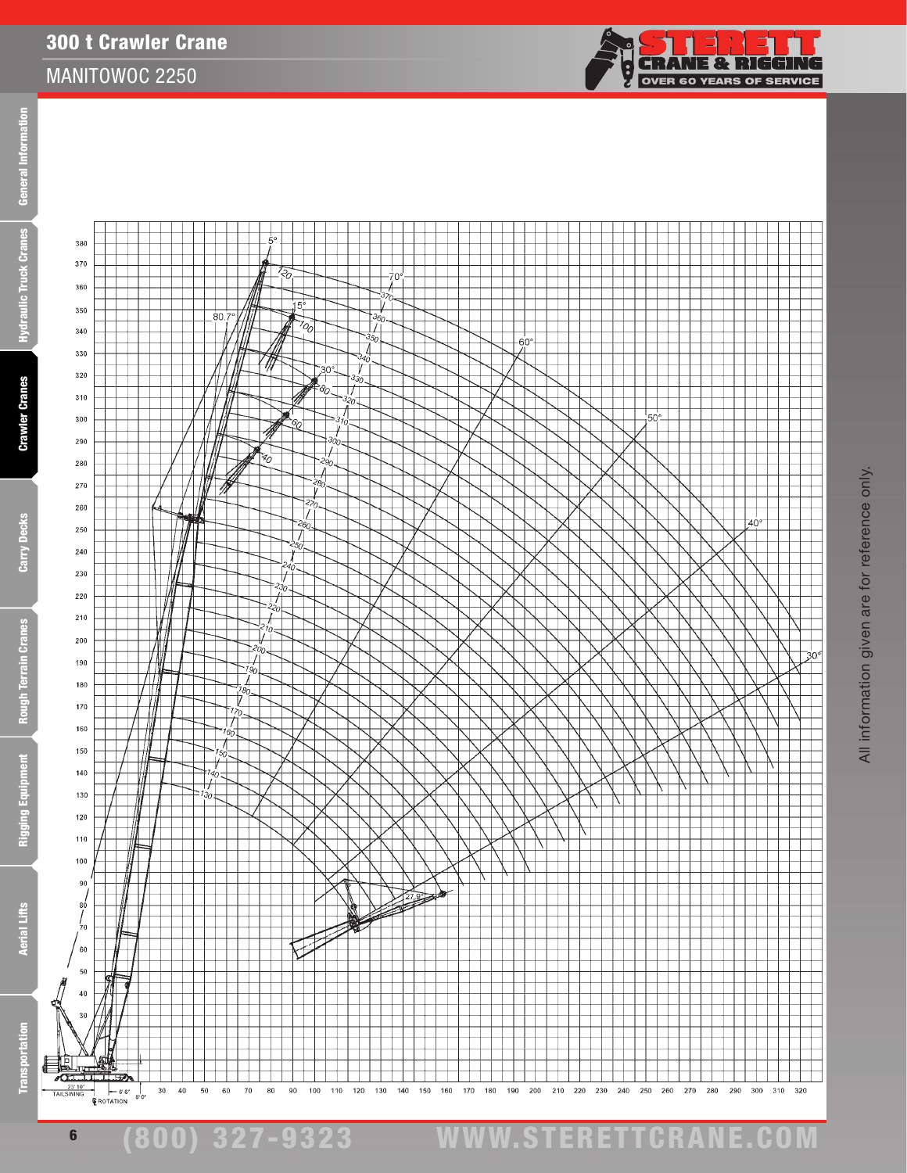300 t Crawler Crane



Ēā

Ē

E

**Aerial Lifts** 

23'<br>TAILSWIN

6

 $-66°$ <br> **E**ROTATION

 $30$  $^{40}$ 50  $60$  ${\bf 70}$ 80 90  $100$  $110$ 120 130  $140$ 150 160 170  $180\,$ 190 200 210 220 230  ${\bf 240}$ 250 260  ${\bf 270}$ 280 290

 $300\qquad 310\qquad 320$ 

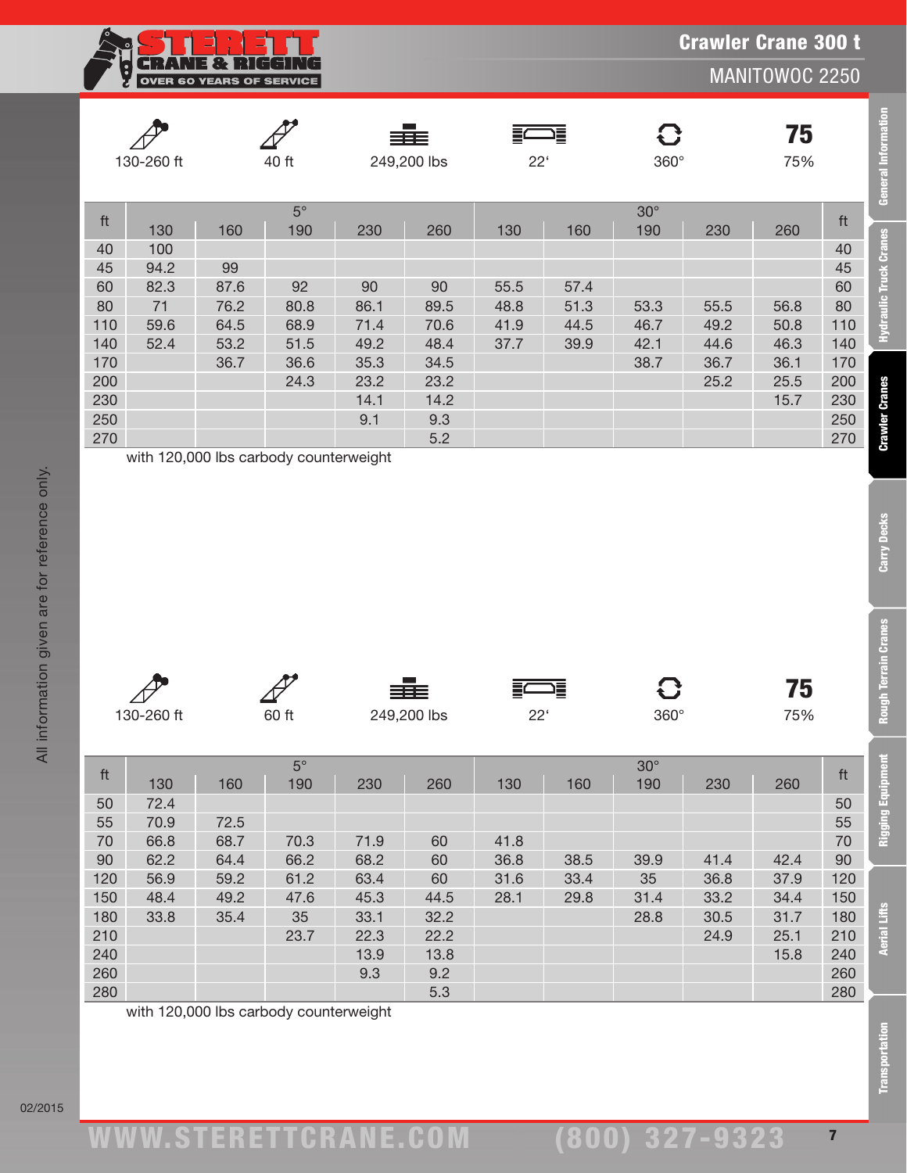**RANE & RIGGIN**  $\overline{\mathbb{F}}$ G OVER 60 YEARS OF SERVICE

MANITOWOC 2250

**General Information** 

**Hydraulic Truck Cranes** 

**Crawler Cranes** 

Carry Decks

**Rough Terrain Cranes** 

|     | 130-260 ft |      | 40 ft     |      | ≡≡≡<br>249,200 lbs | $22^{\circ}$ | 這    | $360^\circ$ |      | 75<br>75% |     |
|-----|------------|------|-----------|------|--------------------|--------------|------|-------------|------|-----------|-----|
|     |            |      | $5^\circ$ |      |                    |              |      | $30^\circ$  |      |           |     |
| ft  | 130        | 160  | 190       | 230  | 260                | 130          | 160  | 190         | 230  | 260       | ft  |
| 40  | 100        |      |           |      |                    |              |      |             |      |           | 40  |
| 45  | 94.2       | 99   |           |      |                    |              |      |             |      |           | 45  |
| 60  | 82.3       | 87.6 | 92        | 90   | 90                 | 55.5         | 57.4 |             |      |           | 60  |
| 80  | 71         | 76.2 | 80.8      | 86.1 | 89.5               | 48.8         | 51.3 | 53.3        | 55.5 | 56.8      | 80  |
| 110 | 59.6       | 64.5 | 68.9      | 71.4 | 70.6               | 41.9         | 44.5 | 46.7        | 49.2 | 50.8      | 110 |
| 140 | 52.4       | 53.2 | 51.5      | 49.2 | 48.4               | 37.7         | 39.9 | 42.1        | 44.6 | 46.3      | 140 |
| 170 |            | 36.7 | 36.6      | 35.3 | 34.5               |              |      | 38.7        | 36.7 | 36.1      | 170 |
| 200 |            |      | 24.3      | 23.2 | 23.2               |              |      |             | 25.2 | 25.5      | 200 |
| 230 |            |      |           | 14.1 | 14.2               |              |      |             |      | 15.7      | 230 |
| 250 |            |      |           | 9.1  | 9.3                |              |      |             |      |           | 250 |
| 270 |            |      |           |      | 5.2                |              |      |             |      |           | 270 |

| ~          |       | 333         | 這               |             | H.  |
|------------|-------|-------------|-----------------|-------------|-----|
| 130-260 ft | 60 ft | 249,200 lbs | つつ<br><u>__</u> | $360^\circ$ | 75% |

|                         | 130-260 ft |      | 40 ft                                  |              | 249,200 lbs  | $22^{\circ}$ |      | 360°             |      | 75<br>75%    |                         | General Informatio                                |
|-------------------------|------------|------|----------------------------------------|--------------|--------------|--------------|------|------------------|------|--------------|-------------------------|---------------------------------------------------|
| ft                      |            |      | $5^{\circ}$                            |              |              |              |      | $30^\circ$       |      |              | ft                      |                                                   |
|                         | 130        | 160  | 190                                    | 230          | 260          | 130          | 160  | 190              | 230  | 260          |                         |                                                   |
| 40                      | 100        |      |                                        |              |              |              |      |                  |      |              | 40                      | Hydraulic Truck Cranes                            |
| 45                      | 94.2       | 99   |                                        |              |              |              |      |                  |      |              | 45                      |                                                   |
| 60                      | 82.3       | 87.6 | 92                                     | 90           | 90           | 55.5         | 57.4 |                  |      |              | 60                      |                                                   |
| 80                      | $71$       | 76.2 | 80.8                                   | 86.1         | 89.5         | 48.8         | 51.3 | 53.3             | 55.5 | 56.8         | 80                      |                                                   |
| 110                     | 59.6       | 64.5 | 68.9                                   | 71.4         | 70.6         | 41.9         | 44.5 | 46.7             | 49.2 | 50.8         | 110                     |                                                   |
| 140                     | 52.4       | 53.2 | 51.5                                   | 49.2         | 48.4         | 37.7         | 39.9 | 42.1             | 44.6 | 46.3         | 140                     |                                                   |
| 170<br>200              |            | 36.7 | 36.6<br>24.3                           | 35.3<br>23.2 | 34.5<br>23.2 |              |      | 38.7             | 36.7 | 36.1<br>25.5 | 170<br>200              |                                                   |
| 230                     |            |      |                                        | 14.1         | 14.2         |              |      |                  | 25.2 | 15.7         | 230                     |                                                   |
| 250                     |            |      |                                        | 9.1          | 9.3          |              |      |                  |      |              | 250                     |                                                   |
| 270                     |            |      |                                        |              | 5.2          |              |      |                  |      |              | 270                     | <b>Crawler Cranes</b>                             |
|                         |            |      |                                        |              |              |              |      |                  |      |              |                         | <b>Carry Decks</b>                                |
|                         | 130-260 ft |      | 60 ft                                  |              | 249,200 lbs  | $22^{\circ}$ |      | G<br>$360^\circ$ |      | 75<br>75%    |                         |                                                   |
|                         |            |      | $5^{\circ}$                            |              |              |              |      | $30^\circ$       |      |              |                         |                                                   |
| $\operatorname{\sf ft}$ | 130        | 160  | 190                                    | 230          | 260          | 130          | 160  | 190              | 230  | 260          | $\operatorname{\sf ft}$ |                                                   |
| 50                      | 72.4       |      |                                        |              |              |              |      |                  |      |              | 50                      |                                                   |
| 55                      | 70.9       | 72.5 |                                        |              |              |              |      |                  |      |              | 55                      |                                                   |
| 70                      | 66.8       | 68.7 | 70.3                                   | 71.9         | 60           | 41.8         |      |                  |      |              | 70                      |                                                   |
| 90                      | 62.2       | 64.4 | 66.2                                   | 68.2         | 60           | 36.8         | 38.5 | 39.9             | 41.4 | 42.4         | 90                      | <b>Rough Terrain Cranes</b><br>nent<br>Rigging Eq |
| 120                     | 56.9       | 59.2 | 61.2                                   | 63.4         | 60           | 31.6         | 33.4 | 35               | 36.8 | 37.9         | 120                     |                                                   |
| 150                     | 48.4       | 49.2 | 47.6                                   | 45.3         | 44.5         | 28.1         | 29.8 | 31.4             | 33.2 | 34.4         | 150                     |                                                   |
| 180                     | 33.8       | 35.4 | 35                                     | 33.1         | 32.2         |              |      | 28.8             | 30.5 | 31.7         | 180                     |                                                   |
| 210                     |            |      | 23.7                                   | 22.3         | 22.2         |              |      |                  | 24.9 | 25.1         | 210                     |                                                   |
| 240                     |            |      |                                        | 13.9         | 13.8         |              |      |                  |      | 15.8         | 240                     | <b>Aerial Lifts</b>                               |
| 260                     |            |      |                                        | 9.3          | 9.2          |              |      |                  |      |              | 260                     |                                                   |
| 280                     |            |      | with 120,000 lbs carbody counterweight |              | 5.3          |              |      |                  |      |              | 280                     |                                                   |

All information given are for reference only.

All information given are for reference only.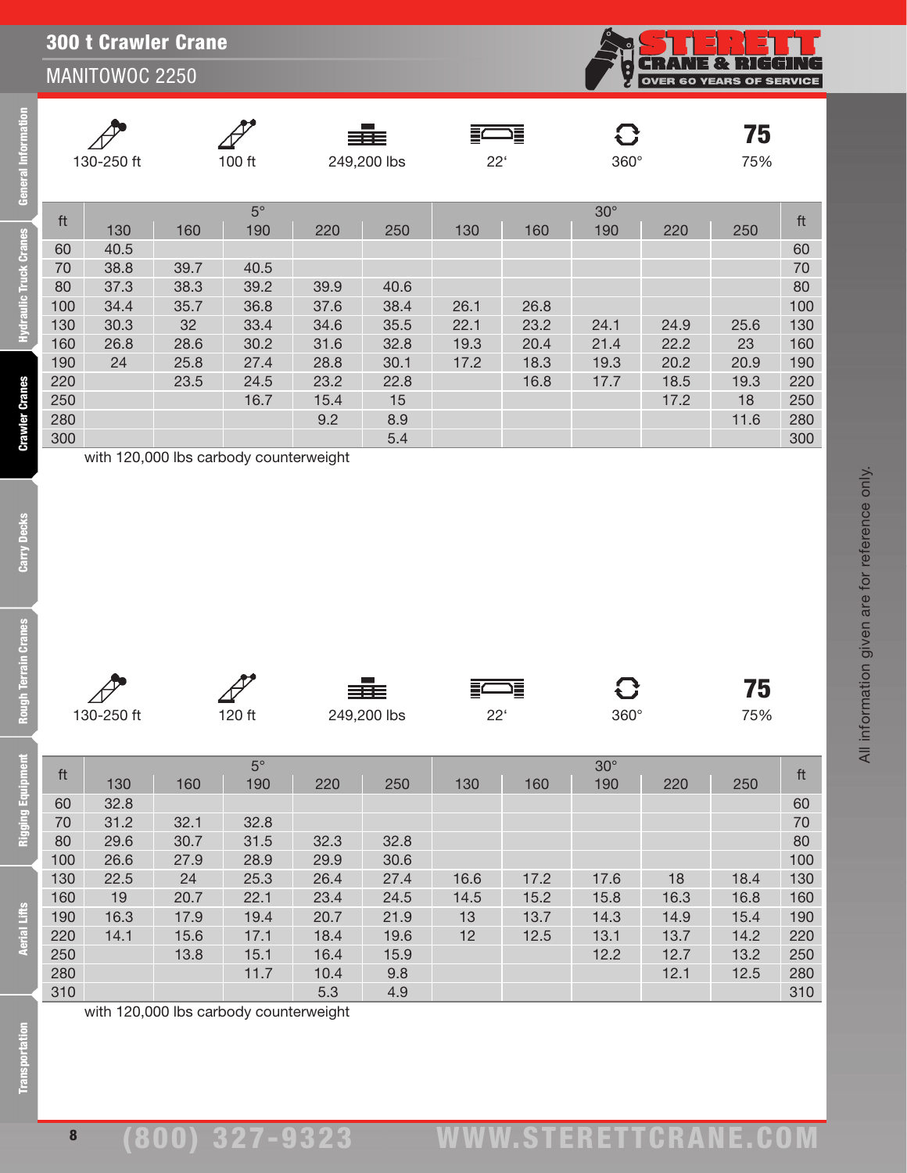

|     |            |                                                                |           |      | ≣≣≣         |              | 這    | $\mathbf G$ |      | 75   |     |
|-----|------------|----------------------------------------------------------------|-----------|------|-------------|--------------|------|-------------|------|------|-----|
|     | 130-250 ft |                                                                | 100 ft    |      | 249,200 lbs | $22^{\circ}$ |      | $360^\circ$ |      | 75%  |     |
|     |            |                                                                |           |      |             |              |      |             |      |      |     |
|     |            |                                                                | $5^\circ$ |      |             |              |      | $30^\circ$  |      |      |     |
| ft  | 130        | 160                                                            | 190       | 220  | 250         | 130          | 160  | 190         | 220  | 250  | ft  |
| 60  | 40.5       |                                                                |           |      |             |              |      |             |      |      | 60  |
| 70  | 38.8       | 39.7                                                           | 40.5      |      |             |              |      |             |      |      | 70  |
| 80  | 37.3       | 38.3                                                           | 39.2      | 39.9 | 40.6        |              |      |             |      |      | 80  |
| 100 | 34.4       | 35.7                                                           | 36.8      | 37.6 | 38.4        | 26.1         | 26.8 |             |      |      | 100 |
| 130 | 30.3       | 32                                                             | 33.4      | 34.6 | 35.5        | 22.1         | 23.2 | 24.1        | 24.9 | 25.6 | 130 |
| 160 | 26.8       | 28.6                                                           | 30.2      | 31.6 | 32.8        | 19.3         | 20.4 | 21.4        | 22.2 | 23   | 160 |
| 190 | 24         | 25.8                                                           | 27.4      | 28.8 | 30.1        | 17.2         | 18.3 | 19.3        | 20.2 | 20.9 | 190 |
| 220 |            | 23.5                                                           | 24.5      | 23.2 | 22.8        |              | 16.8 | 17.7        | 18.5 | 19.3 | 220 |
| 250 |            |                                                                | 16.7      | 15.4 | 15          |              |      |             | 17.2 | 18   | 250 |
| 280 |            |                                                                |           | 9.2  | 8.9         |              |      |             |      | 11.6 | 280 |
| 300 |            |                                                                |           |      | 5.4         |              |      |             |      |      | 300 |
|     |            | $\ldots$ the HOO OOO lies is subscribed as a continuous trial. |           |      |             |              |      |             |      |      |     |

with 120,000 lbs carbody counterweight

**Crawler Cranes** 

jā

Ē

**Rigging Equipment** 

**Aerial Lifts** 

≡≣≡

⋚⊆ ⊐≣

75

All information given are for reference only.

All information given are for reference only.

|     |      |      | $5^\circ$ |      |      |                 |      | $30^\circ$ |      |      |     |
|-----|------|------|-----------|------|------|-----------------|------|------------|------|------|-----|
| ft  | 130  | 160  | 190       | 220  | 250  | 130             | 160  | 190        | 220  | 250  | ft  |
| 60  | 32.8 |      |           |      |      |                 |      |            |      |      | 60  |
| 70  | 31.2 | 32.1 | 32.8      |      |      |                 |      |            |      |      | 70  |
| 80  | 29.6 | 30.7 | 31.5      | 32.3 | 32.8 |                 |      |            |      |      | 80  |
| 100 | 26.6 | 27.9 | 28.9      | 29.9 | 30.6 |                 |      |            |      |      | 100 |
| 130 | 22.5 | 24   | 25.3      | 26.4 | 27.4 | 16.6            | 17.2 | 17.6       | 18   | 18.4 | 130 |
| 160 | 19   | 20.7 | 22.1      | 23.4 | 24.5 | 14.5            | 15.2 | 15.8       | 16.3 | 16.8 | 160 |
| 190 | 16.3 | 17.9 | 19.4      | 20.7 | 21.9 | 13              | 13.7 | 14.3       | 14.9 | 15.4 | 190 |
| 220 | 14.1 | 15.6 | 17.1      | 18.4 | 19.6 | 12 <sub>2</sub> | 12.5 | 13.1       | 13.7 | 14.2 | 220 |
| 250 |      | 13.8 | 15.1      | 16.4 | 15.9 |                 |      | 12.2       | 12.7 | 13.2 | 250 |
| 280 |      |      | 11.7      | 10.4 | 9.8  |                 |      |            | 12.1 | 12.5 | 280 |
| 310 |      |      |           | 5.3  | 4.9  |                 |      |            |      |      | 310 |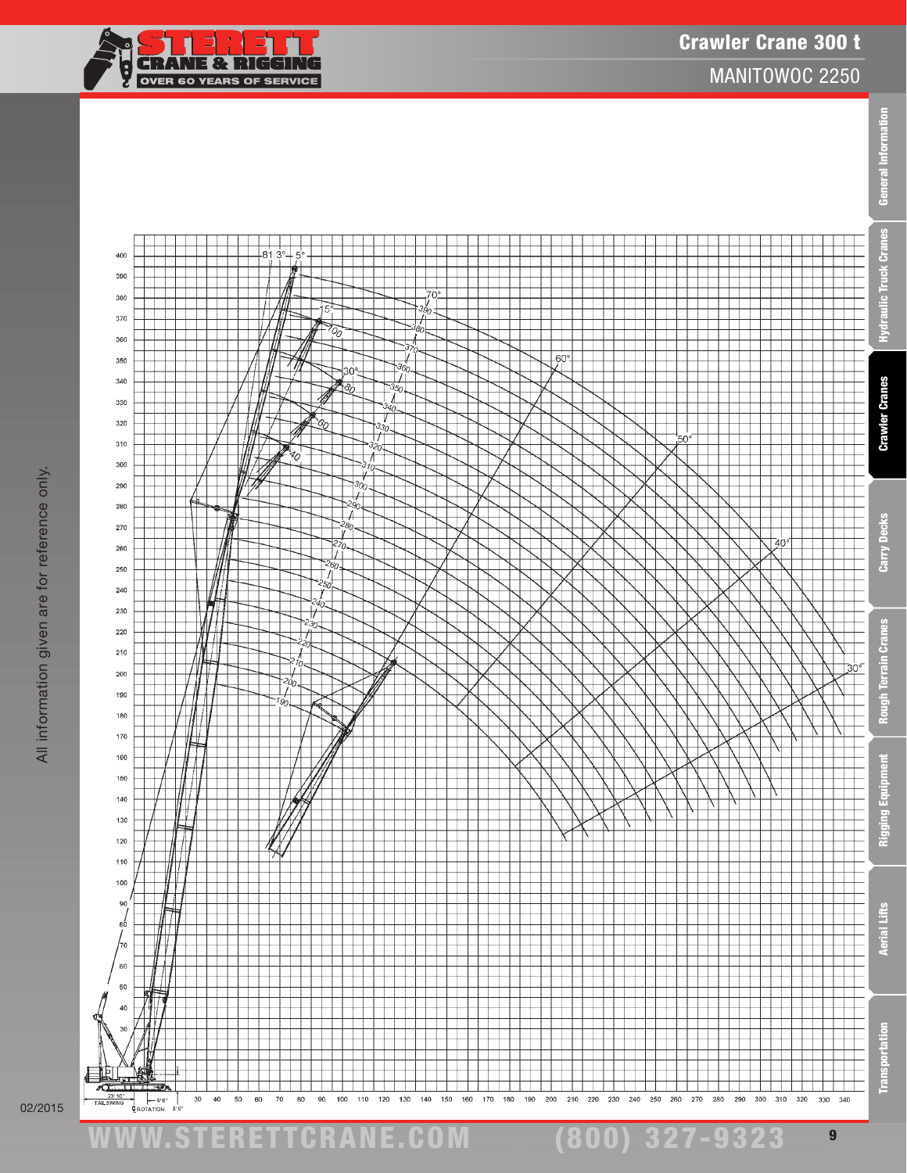**Informa**  $|$ 



Æ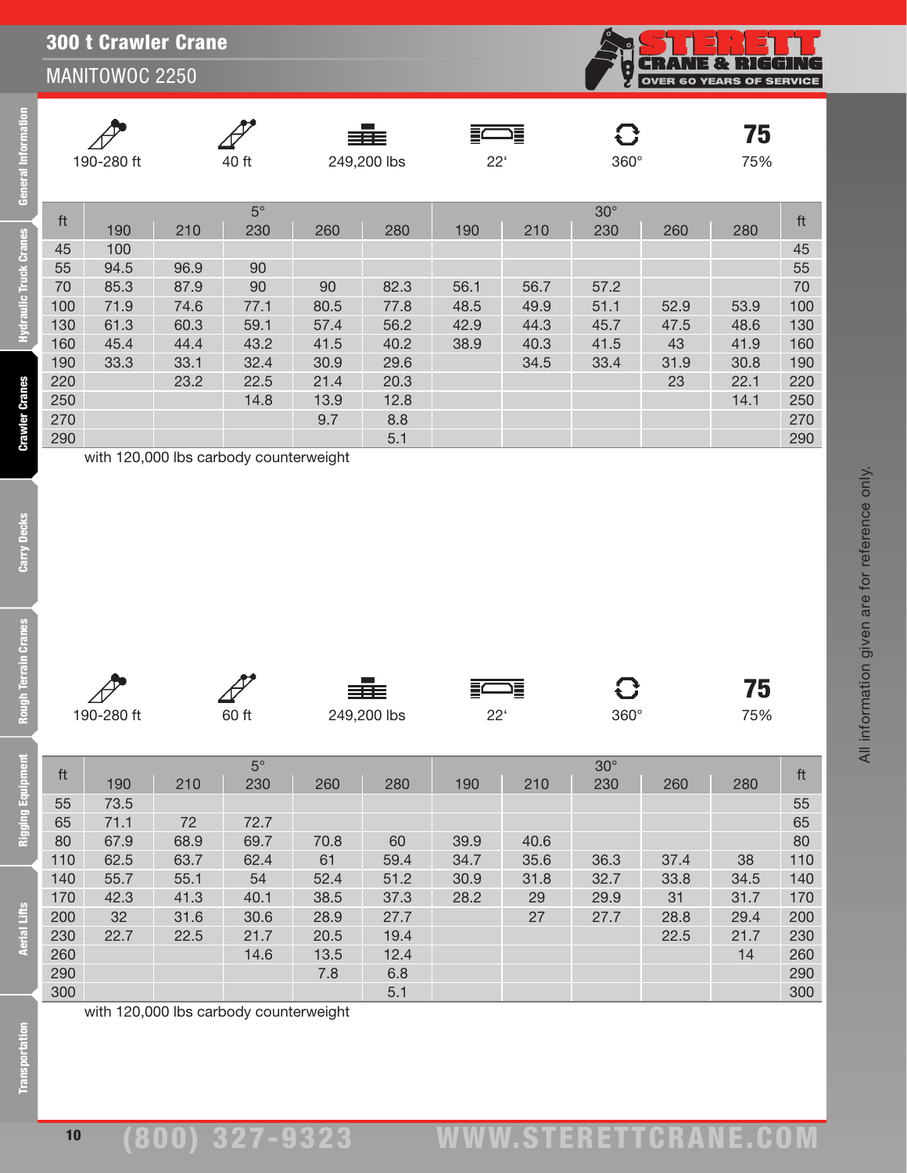## 300 t Crawler Crane

## MANITOWOC 2250

**NE & RIGGING** OVER 60 YEARS OF SERVICE

All information given are for reference only.

All information given are for reference only.

75

|     |             |      |           |      | ≣≣≣         |              | 這    | $\mathbf G$ |      | 75   |     |
|-----|-------------|------|-----------|------|-------------|--------------|------|-------------|------|------|-----|
|     | 190-280 ft  |      | 40 ft     |      | 249,200 lbs | $22^{\circ}$ |      | $360^\circ$ |      | 75%  |     |
|     |             |      | $5^\circ$ |      |             |              |      | $30^\circ$  |      |      |     |
| ft  | 190         | 210  | 230       | 260  | 280         | 190          | 210  | 230         | 260  | 280  | ft  |
| 45  | 100         |      |           |      |             |              |      |             |      |      | 45  |
| 55  | 94.5        | 96.9 | 90        |      |             |              |      |             |      |      | 55  |
| 70  | 85.3        | 87.9 | 90        | 90   | 82.3        | 56.1         | 56.7 | 57.2        |      |      | 70  |
| 100 | 71.9        | 74.6 | 77.1      | 80.5 | 77.8        | 48.5         | 49.9 | 51.1        | 52.9 | 53.9 | 100 |
| 130 | 61.3        | 60.3 | 59.1      | 57.4 | 56.2        | 42.9         | 44.3 | 45.7        | 47.5 | 48.6 | 130 |
| 160 | 45.4        | 44.4 | 43.2      | 41.5 | 40.2        | 38.9         | 40.3 | 41.5        | 43   | 41.9 | 160 |
| 190 | 33.3        | 33.1 | 32.4      | 30.9 | 29.6        |              | 34.5 | 33.4        | 31.9 | 30.8 | 190 |
| 220 |             | 23.2 | 22.5      | 21.4 | 20.3        |              |      |             | 23   | 22.1 | 220 |
| 250 |             |      | 14.8      | 13.9 | 12.8        |              |      |             |      | 14.1 | 250 |
| 270 |             |      |           | 9.7  | 8.8         |              |      |             |      |      | 270 |
| 290 |             |      |           |      | 5.1         |              |      |             |      |      | 290 |
|     | 11.10000011 |      |           | .    |             |              |      |             |      |      |     |

190-280 ft 60 ft 249,200 lbs 22' 360° 75%

≣⊂

졀

siis:

ft 5° 30° ft <sup>190</sup> <sup>210</sup> <sup>230</sup> <sup>260</sup> <sup>280</sup> <sup>190</sup> <sup>210</sup> <sup>230</sup> <sup>260</sup> <sup>280</sup> 55 73.5 55 65 71.1 72 72.7 65 80 67.9 68.9 69.7 70.8 60 39.9 40.6 80

with 120,000 lbs carbody counterweight

**Crawler Cranes** 

**Gran** 

**Transportation**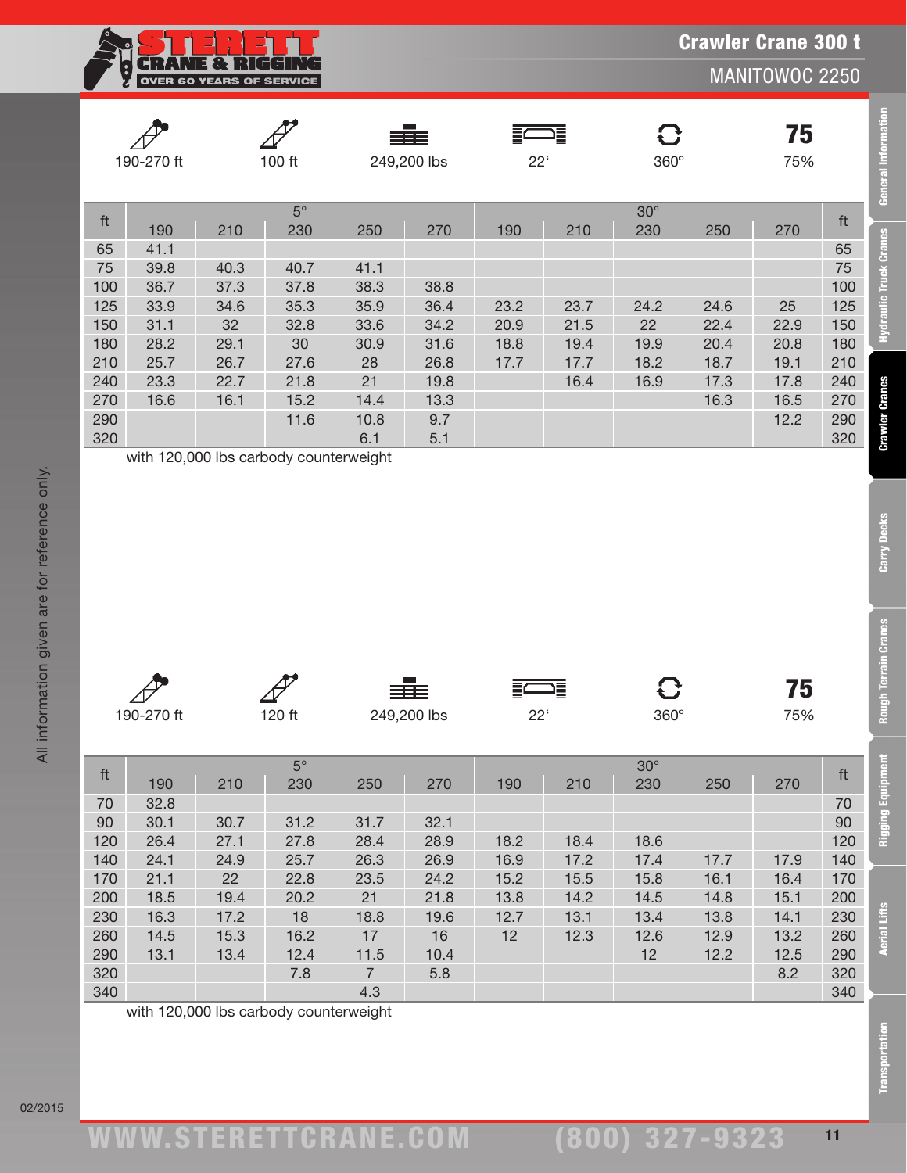Crawler Crane 300 t

MANITOWOC 2250

|     | 190-270 ft |      | 100 ft           |      | ≣≣≣<br>249,200 lbs | $22^{\circ}$ | $\equiv$ | $360^\circ$       |      | 75<br>75% |     |
|-----|------------|------|------------------|------|--------------------|--------------|----------|-------------------|------|-----------|-----|
| ft  | 190        | 210  | $5^\circ$<br>230 | 250  | 270                | 190          | 210      | $30^\circ$<br>230 | 250  | 270       | ft  |
| 65  | 41.1       |      |                  |      |                    |              |          |                   |      |           | 65  |
| 75  | 39.8       | 40.3 | 40.7             | 41.1 |                    |              |          |                   |      |           | 75  |
| 100 | 36.7       | 37.3 | 37.8             | 38.3 | 38.8               |              |          |                   |      |           | 100 |
| 125 | 33.9       | 34.6 | 35.3             | 35.9 | 36.4               | 23.2         | 23.7     | 24.2              | 24.6 | 25        | 125 |
| 150 | 31.1       | 32   | 32.8             | 33.6 | 34.2               | 20.9         | 21.5     | 22                | 22.4 | 22.9      | 150 |
| 180 | 28.2       | 29.1 | 30               | 30.9 | 31.6               | 18.8         | 19.4     | 19.9              | 20.4 | 20.8      | 180 |
| 210 | 25.7       | 26.7 | 27.6             | 28   | 26.8               | 17.7         | 17.7     | 18.2              | 18.7 | 19.1      | 210 |
| 240 | 23.3       | 22.7 | 21.8             | 21   | 19.8               |              | 16.4     | 16.9              | 17.3 | 17.8      | 240 |
| 270 | 16.6       | 16.1 | 15.2             | 14.4 | 13.3               |              |          |                   | 16.3 | 16.5      | 270 |
| 290 |            |      | 11.6             | 10.8 | 9.7                |              |          |                   |      | 12.2      | 290 |
| 320 |            |      |                  | 6.1  | 5.1                |              |          |                   |      |           | 320 |

**CRANE & RIGGIR** 

OVER 60 YEARS OF SERVICE

 $\overline{\mathbb{F}}$ 

All information given are for reference only.

All information given are for reference only.

02/2015

|            |        | 三王          | ⋿<br>$\equiv$<br>$-$ |             | 75 V |
|------------|--------|-------------|----------------------|-------------|------|
| 190-270 ft | 120 ft | 249,200 lbs | י ממ<br>ے            | $360^\circ$ | 75%  |

|                         | 190-270 ft |                                        | 100 ft             |                | 249,200 lbs |              | $22^{\circ}$ |                   | $360^\circ$ |           |                         |
|-------------------------|------------|----------------------------------------|--------------------|----------------|-------------|--------------|--------------|-------------------|-------------|-----------|-------------------------|
|                         |            |                                        |                    |                |             |              |              |                   |             |           |                         |
| ft                      | 190        | 210                                    | $5^{\circ}$<br>230 | 250            | 270         | 190          | 210          | $30^\circ$<br>230 | 250         | 270       | ft                      |
| 65                      | 41.1       |                                        |                    |                |             |              |              |                   |             |           | 65                      |
| 75                      | 39.8       | 40.3                                   | 40.7               | 41.1           |             |              |              |                   |             |           | 75                      |
| 100                     | 36.7       | 37.3                                   | 37.8               | 38.3           | 38.8        |              |              |                   |             |           | 100                     |
| 125                     | 33.9       | 34.6                                   | 35.3               | 35.9           | 36.4        | 23.2         | 23.7         | 24.2              | 24.6        | 25        | 125                     |
| 150                     | 31.1       | 32                                     | 32.8               | 33.6           | 34.2        | 20.9         | 21.5         | 22                | 22.4        | 22.9      | 150                     |
| 180                     | 28.2       | 29.1                                   | 30                 | 30.9           | 31.6        | 18.8         | 19.4         | 19.9              | 20.4        | 20.8      | 180                     |
| 210                     | 25.7       | 26.7                                   | 27.6               | 28             | 26.8        | 17.7         | 17.7         | 18.2              | 18.7        | 19.1      | 210                     |
| 240                     | 23.3       | 22.7                                   | 21.8               | 21             | 19.8        |              | 16.4         | 16.9              | 17.3        | 17.8      | 240                     |
| 270                     | 16.6       | 16.1                                   | 15.2               | 14.4           | 13.3        |              |              |                   | 16.3        | 16.5      | 270                     |
| 290                     |            |                                        | 11.6               | 10.8           | 9.7         |              |              |                   |             | 12.2      | 290                     |
| 320                     |            | with 120,000 lbs carbody counterweight |                    | 6.1            | 5.1         |              |              |                   |             |           | 320                     |
|                         |            |                                        |                    |                |             |              |              |                   |             |           |                         |
|                         | 190-270 ft |                                        | 120 ft             |                | 249,200 lbs | $22^{\circ}$ |              | O<br>360°         |             | 75<br>75% |                         |
|                         |            |                                        | $5^{\circ}$        |                |             |              |              | $30^\circ$        |             |           |                         |
| $\operatorname{\sf ft}$ | 190        | 210                                    | 230                | 250            | 270         | 190          | 210          | 230               | 250         | 270       | $\operatorname{\sf ft}$ |
| 70                      | 32.8       |                                        |                    |                |             |              |              |                   |             |           | 70                      |
| 90                      | 30.1       | 30.7                                   | 31.2               | 31.7           | 32.1        |              |              |                   |             |           | 90                      |
| 120                     | 26.4       | 27.1                                   | 27.8               | 28.4           | 28.9        | 18.2         | 18.4         | 18.6              |             |           | 120                     |
| 140                     | 24.1       | 24.9                                   | 25.7               | 26.3           | 26.9        | 16.9         | 17.2         | 17.4              | 17.7        | 17.9      | 140                     |
| 170                     | 21.1       | 22                                     | 22.8               | 23.5           | 24.2        | 15.2         | 15.5         | 15.8              | 16.1        | 16.4      | 170                     |
| 200                     | 18.5       | 19.4                                   | 20.2               | 21             | 21.8        | 13.8         | 14.2         | 14.5              | 14.8        | 15.1      | 200                     |
| 230                     | 16.3       | 17.2                                   | 18                 | 18.8           | 19.6        | 12.7         | 13.1         | 13.4              | 13.8        | 14.1      | 230                     |
| 260                     | 14.5       | 15.3                                   | 16.2               | $17$           | 16          | 12           | 12.3         | 12.6              | 12.9        | 13.2      | 260                     |
| 290                     | 13.1       | 13.4                                   | 12.4               | 11.5           | 10.4        |              |              | 12                | 12.2        | 12.5      | 290                     |
| 320                     |            |                                        | 7.8                | $\overline{7}$ | 5.8         |              |              |                   |             | 8.2       | 320                     |
| 340                     |            | with 120,000 lbs carbody counterweight |                    | 4.3            |             |              |              |                   |             |           | 340                     |

11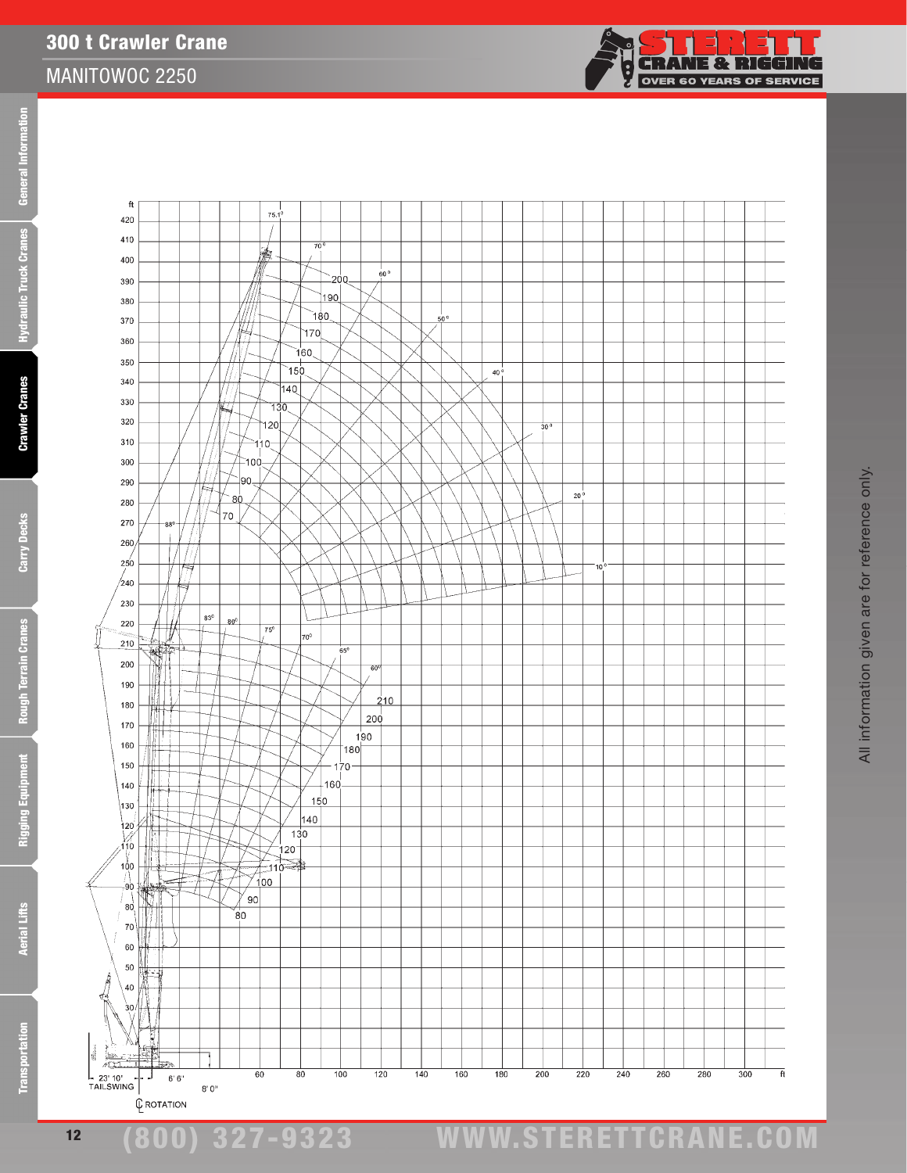**Aerial Lifts** 

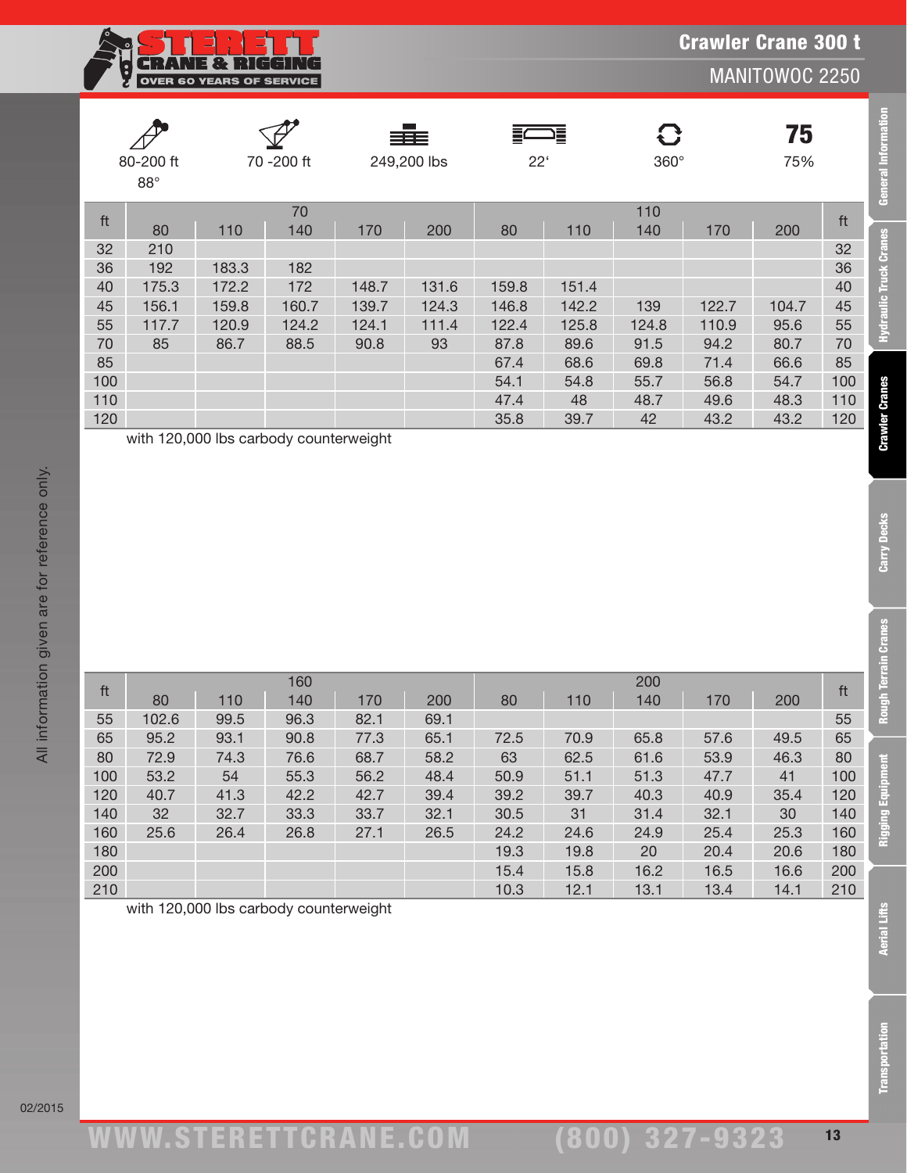| <b>OVER 60 YEARS OF SERVICE</b> |
|---------------------------------|

|     | 80-200 ft<br>$88^\circ$ |       | 70 -200 ft |          | ≡≡≡<br>249,200 lbs | $22^{\circ}$ | 這     | G<br>$360^\circ$ |       | 75<br>75% |     |
|-----|-------------------------|-------|------------|----------|--------------------|--------------|-------|------------------|-------|-----------|-----|
| ft  | 80                      | 110   | 70<br>140  | 170      | 200                | 80           | 110   | 110<br>140       | 170   | 200       | ft  |
| 32  | 210                     |       |            |          |                    |              |       |                  |       |           | 32  |
| 36  | 192                     | 183.3 | 182        |          |                    |              |       |                  |       |           | 36  |
| 40  | 175.3                   | 172.2 | 172        | 148.7    | 131.6              | 159.8        | 151.4 |                  |       |           | 40  |
| 45  | 156.1                   | 159.8 | 160.7      | 139.7    | 124.3              | 146.8        | 142.2 | 139              | 122.7 | 104.7     | 45  |
| 55  | 117.7                   | 120.9 | 124.2      | 124.1    | 111.4              | 122.4        | 125.8 | 124.8            | 110.9 | 95.6      | 55  |
| 70  | 85                      | 86.7  | 88.5       | 90.8     | 93                 | 87.8         | 89.6  | 91.5             | 94.2  | 80.7      | 70  |
| 85  |                         |       |            |          |                    | 67.4         | 68.6  | 69.8             | 71.4  | 66.6      | 85  |
| 100 |                         |       |            |          |                    | 54.1         | 54.8  | 55.7             | 56.8  | 54.7      | 100 |
| 110 |                         |       |            |          |                    | 47.4         | 48    | 48.7             | 49.6  | 48.3      | 110 |
| 120 | 11.120000011            |       | . .        | $\cdots$ |                    | 35.8         | 39.7  | 42               | 43.2  | 43.2      | 120 |

with 120,000 lbs carbody counterweight

|     |       |      | 160  |      |      | 200  |      |      |      |      |     |
|-----|-------|------|------|------|------|------|------|------|------|------|-----|
| ft  | 80    | 110  | 140  | 170  | 200  | 80   | 110  | 140  | 170  | 200  | ft  |
| 55  | 102.6 | 99.5 | 96.3 | 82.1 | 69.1 |      |      |      |      |      | 55  |
| 65  | 95.2  | 93.1 | 90.8 | 77.3 | 65.1 | 72.5 | 70.9 | 65.8 | 57.6 | 49.5 | 65  |
| 80  | 72.9  | 74.3 | 76.6 | 68.7 | 58.2 | 63   | 62.5 | 61.6 | 53.9 | 46.3 | 80  |
| 100 | 53.2  | 54   | 55.3 | 56.2 | 48.4 | 50.9 | 51.1 | 51.3 | 47.7 | 41   | 100 |
| 120 | 40.7  | 41.3 | 42.2 | 42.7 | 39.4 | 39.2 | 39.7 | 40.3 | 40.9 | 35.4 | 120 |
| 140 | 32    | 32.7 | 33.3 | 33.7 | 32.1 | 30.5 | 31   | 31.4 | 32.1 | 30   | 140 |
| 160 | 25.6  | 26.4 | 26.8 | 27.1 | 26.5 | 24.2 | 24.6 | 24.9 | 25.4 | 25.3 | 160 |
| 180 |       |      |      |      |      | 19.3 | 19.8 | 20   | 20.4 | 20.6 | 180 |
| 200 |       |      |      |      |      | 15.4 | 15.8 | 16.2 | 16.5 | 16.6 | 200 |
| 210 |       |      |      |      |      | 10.3 | 12.1 | 13.1 | 13.4 | 14.1 | 210 |

with 120,000 lbs carbody counterweight

**General Information**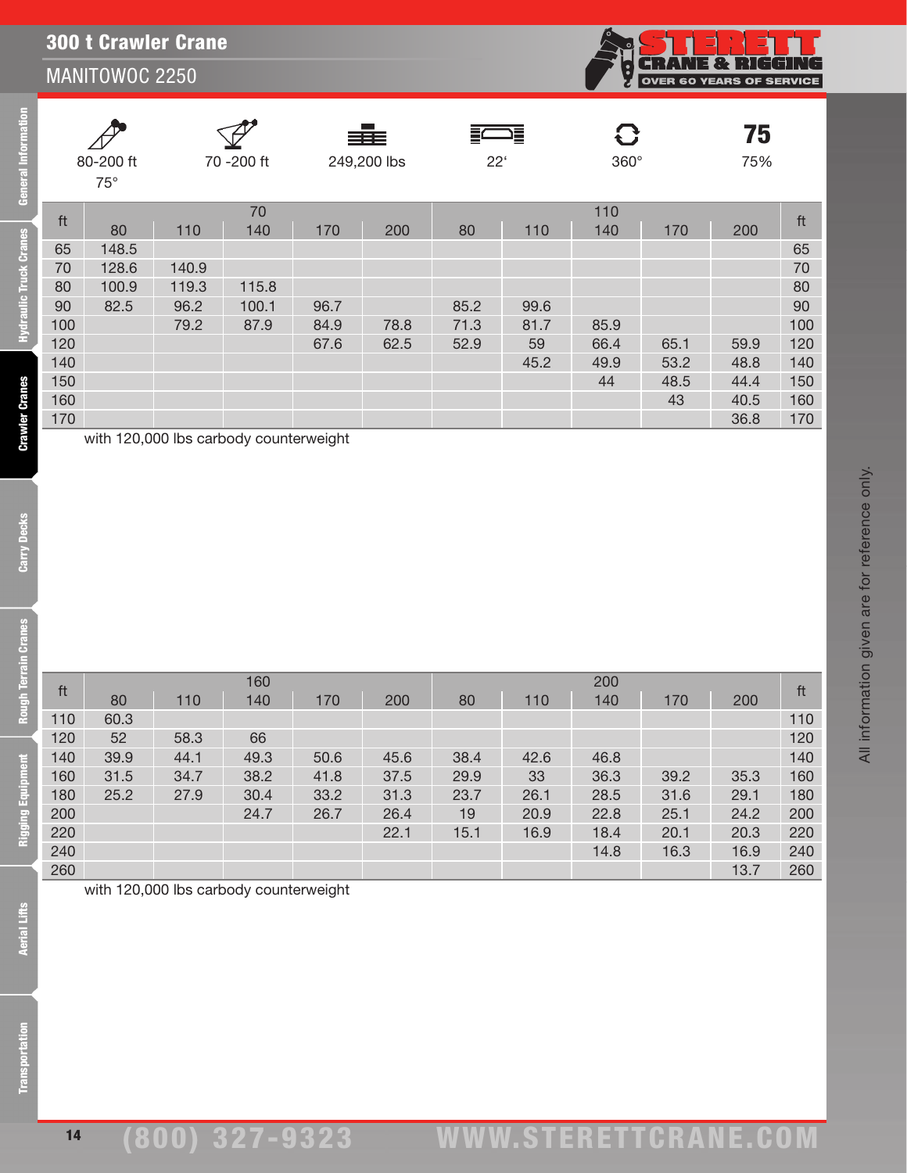|                               |                                       | MANITOWOC 2250 |       |                                        |              |      |           |      | $\left  \cdot \right $ | . – 1 . Y . V 1<br><b>OVER 60 YEARS OF SERVIC</b> | TEST TUUTIL |     |
|-------------------------------|---------------------------------------|----------------|-------|----------------------------------------|--------------|------|-----------|------|------------------------|---------------------------------------------------|-------------|-----|
| General Information           | 70 -200 ft<br>80-200 ft<br>$75^\circ$ |                |       | ≡≡≡<br>249,200 lbs                     | $22^{\circ}$ | ∍≣   | G<br>360° |      | 75<br>75%              |                                                   |             |     |
|                               | ft                                    |                |       | 70                                     |              |      |           |      | 110                    |                                                   |             | ft  |
|                               |                                       | 80             | 110   | 140                                    | 170          | 200  | 80        | 110  | 140                    | 170                                               | 200         |     |
|                               | 65                                    | 148.5          |       |                                        |              |      |           |      |                        |                                                   |             | 65  |
|                               | 70                                    | 128.6          | 140.9 |                                        |              |      |           |      |                        |                                                   |             | 70  |
|                               | 80                                    | 100.9          | 119.3 | 115.8                                  |              |      |           |      |                        |                                                   |             | 80  |
|                               | 90                                    | 82.5           | 96.2  | 100.1                                  | 96.7         |      | 85.2      | 99.6 |                        |                                                   |             | 90  |
| <b>Hydraulic Truck Cranes</b> | 100                                   |                | 79.2  | 87.9                                   | 84.9         | 78.8 | 71.3      | 81.7 | 85.9                   |                                                   |             | 100 |
|                               | 120                                   |                |       |                                        | 67.6         | 62.5 | 52.9      | 59   | 66.4                   | 65.1                                              | 59.9        | 120 |
|                               | 140                                   |                |       |                                        |              |      |           | 45.2 | 49.9                   | 53.2                                              | 48.8        | 140 |
|                               | 150                                   |                |       |                                        |              |      |           |      | 44                     | 48.5                                              | 44.4        | 150 |
|                               | 160                                   |                |       |                                        |              |      |           |      |                        | 43                                                | 40.5        | 160 |
|                               | 170                                   |                |       |                                        |              |      |           |      |                        |                                                   | 36.8        | 170 |
| <b>Crawler Cranes</b>         |                                       |                |       | with 120,000 lbs carbody counterweight |              |      |           |      |                        |                                                   |             |     |

ft <sup>160</sup> <sup>200</sup> ft <sup>80</sup> <sup>110</sup> <sup>140</sup> <sup>170</sup> <sup>200</sup> <sup>80</sup> <sup>110</sup> <sup>140</sup> <sup>170</sup> <sup>200</sup> 110 60.3 110 52 58.3 66 120 39.9 44.1 49.3 50.6 45.6 38.4 42.6 46.8 140 31.5 34.7 38.2 41.8 37.5 29.9 33 36.3 39.2 35.3 160 25.2 27.9 30.4 33.2 31.3 23.7 26.1 28.5 31.6 29.1 180 24.7 26.7 26.4 19 20.9 22.8 25.1 24.2 200 22.1 15.1 16.9 18.4 20.1 20.3 220 14.8 16.3 16.9 240 260 13.7 260

<u> ELLE</u>T

 $\overline{\mathsf{ICE}}$ 

300 t Crawler Crane

**Rough Terrain Cranes** 

Carry Decks

with 120,000 lbs carbody counterweight

14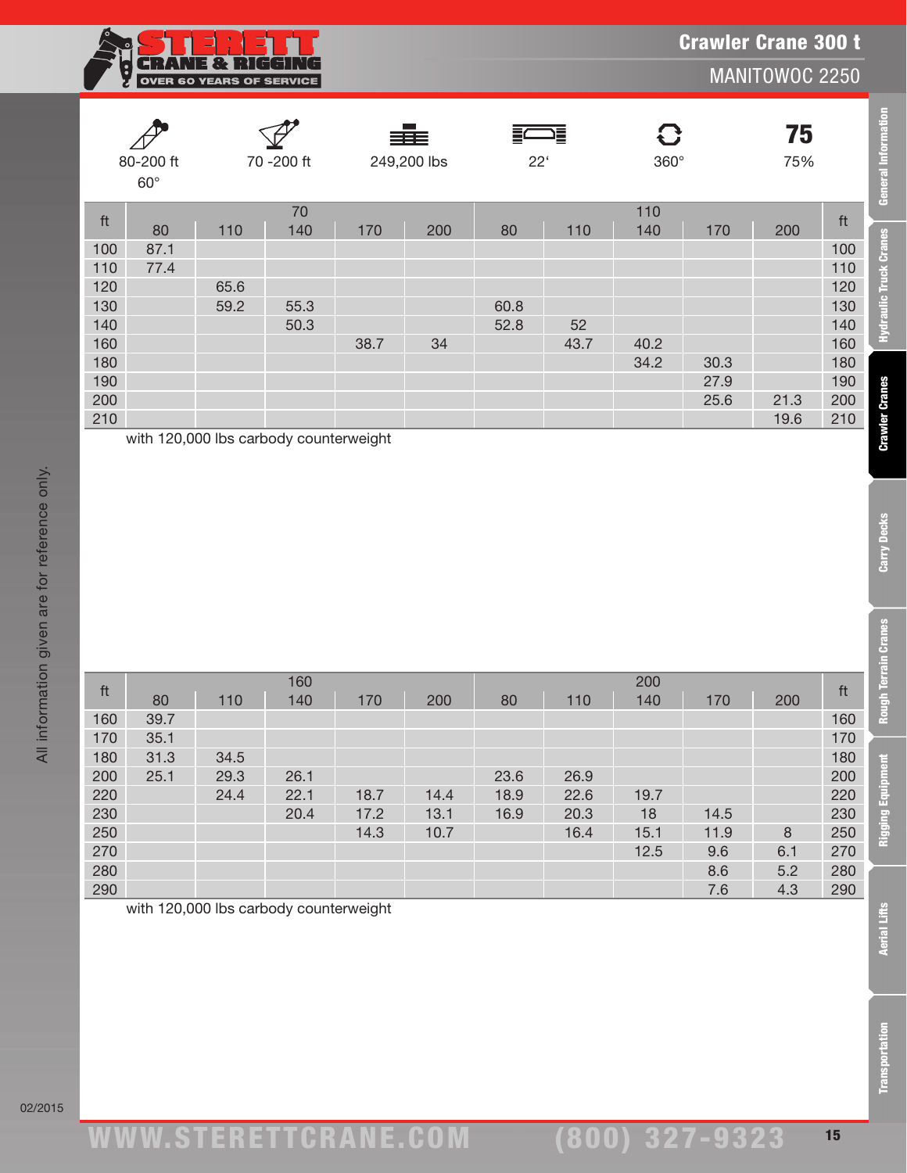

**General Information** 

**Hydraulic Truck Cranes** 

**Crawler Cranes** 

Carry Decks

Rough Terrain Cranes

Rigging Equipment

| 80-200 ft<br>$60^\circ$ |      | 70 - 200 ft |                                                      | ≣≣≣<br>249,200 lbs |     | ∍≣<br>$22^{\circ}$ |      | C<br>360° |      | 75<br>75% |     |
|-------------------------|------|-------------|------------------------------------------------------|--------------------|-----|--------------------|------|-----------|------|-----------|-----|
| ft                      |      |             | 70                                                   |                    |     |                    |      | 110       |      |           | ft  |
|                         | 80   | 110         | 140                                                  | 170                | 200 | 80                 | 110  | 140       | 170  | 200       |     |
| 100                     | 87.1 |             |                                                      |                    |     |                    |      |           |      |           | 100 |
| 110                     | 77.4 |             |                                                      |                    |     |                    |      |           |      |           | 110 |
| 120                     |      | 65.6        |                                                      |                    |     |                    |      |           |      |           | 120 |
| 130                     |      | 59.2        | 55.3                                                 |                    |     | 60.8               |      |           |      |           | 130 |
| 140                     |      |             | 50.3                                                 |                    |     | 52.8               | 52   |           |      |           | 140 |
| 160                     |      |             |                                                      | 38.7               | 34  |                    | 43.7 | 40.2      |      |           | 160 |
| 180                     |      |             |                                                      |                    |     |                    |      | 34.2      | 30.3 |           | 180 |
| 190                     |      |             |                                                      |                    |     |                    |      |           | 27.9 |           | 190 |
| 200                     |      |             |                                                      |                    |     |                    |      |           | 25.6 | 21.3      | 200 |
| 210                     |      |             |                                                      |                    |     |                    |      |           |      | 19.6      | 210 |
|                         |      |             | $1.111.$ 4.00.000 lbs. said sales as interested able |                    |     |                    |      |           |      |           |     |

with 120,000 lbs carbody counterweight

| ft  |      |      | 160  |      |      | 200  |      |      |      |     | ft         |
|-----|------|------|------|------|------|------|------|------|------|-----|------------|
|     | 80   | 110  | 140  | 170  | 200  | 80   | 110  | 140  | 170  | 200 |            |
| 160 | 39.7 |      |      |      |      |      |      |      |      |     | 160        |
| 170 | 35.1 |      |      |      |      |      |      |      |      |     | 170        |
| 180 | 31.3 | 34.5 |      |      |      |      |      |      |      |     | 180        |
| 200 | 25.1 | 29.3 | 26.1 |      |      | 23.6 | 26.9 |      |      |     | 200        |
| 220 |      | 24.4 | 22.1 | 18.7 | 14.4 | 18.9 | 22.6 | 19.7 |      |     | 220        |
| 230 |      |      | 20.4 | 17.2 | 13.1 | 16.9 | 20.3 | 18   | 14.5 |     | 230        |
| 250 |      |      |      | 14.3 | 10.7 |      | 16.4 | 15.1 | 11.9 | 8   | 250        |
| 270 |      |      |      |      |      |      |      | 12.5 | 9.6  | 6.1 | <b>270</b> |
| 280 |      |      |      |      |      |      |      |      | 8.6  | 5.2 | 280        |
| 290 |      |      |      |      |      |      |      |      | 7.6  | 4.3 | <b>290</b> |